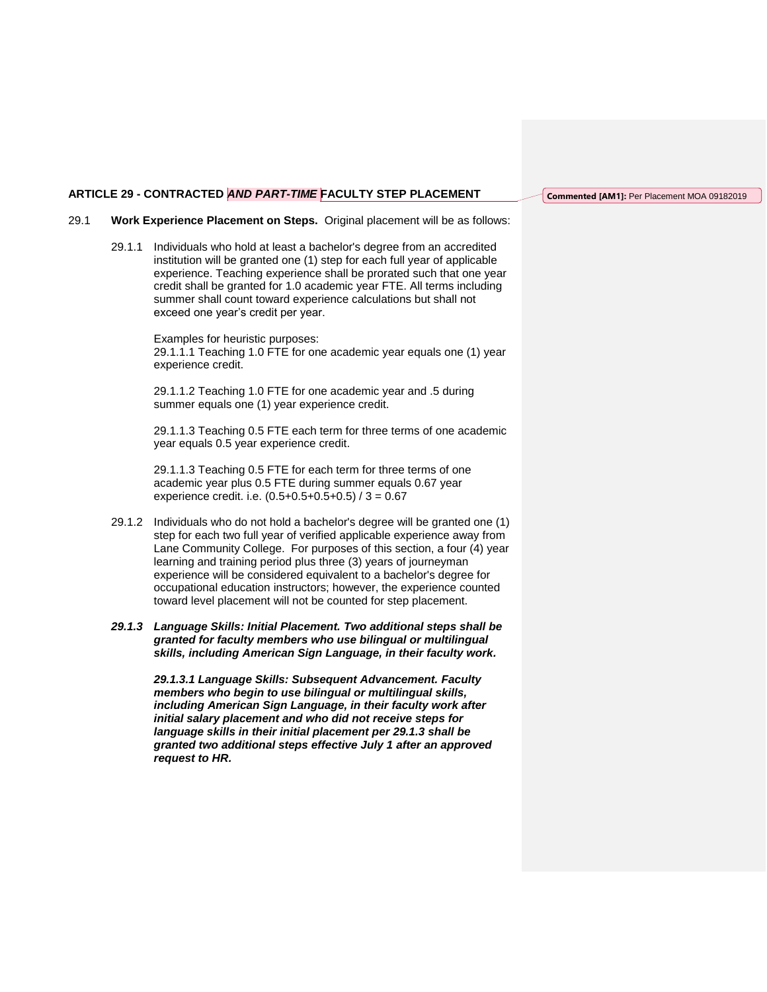## **ARTICLE 29 - CONTRACTED** *AND PART-TIME* **FACULTY STEP PLACEMENT**

**Commented [AM1]:** Per Placement MOA 09182019

## 29.1 **Work Experience Placement on Steps.** Original placement will be as follows:

29.1.1 Individuals who hold at least a bachelor's degree from an accredited institution will be granted one (1) step for each full year of applicable experience. Teaching experience shall be prorated such that one year credit shall be granted for 1.0 academic year FTE. All terms including summer shall count toward experience calculations but shall not exceed one year's credit per year.

> Examples for heuristic purposes: 29.1.1.1 Teaching 1.0 FTE for one academic year equals one (1) year experience credit.

29.1.1.2 Teaching 1.0 FTE for one academic year and .5 during summer equals one (1) year experience credit.

29.1.1.3 Teaching 0.5 FTE each term for three terms of one academic year equals 0.5 year experience credit.

29.1.1.3 Teaching 0.5 FTE for each term for three terms of one academic year plus 0.5 FTE during summer equals 0.67 year experience credit. i.e.  $(0.5+0.5+0.5+0.5) / 3 = 0.67$ 

- 29.1.2 Individuals who do not hold a bachelor's degree will be granted one (1) step for each two full year of verified applicable experience away from Lane Community College. For purposes of this section, a four (4) year learning and training period plus three (3) years of journeyman experience will be considered equivalent to a bachelor's degree for occupational education instructors; however, the experience counted toward level placement will not be counted for step placement.
- *29.1.3 Language Skills: Initial Placement. Two additional steps shall be granted for faculty members who use bilingual or multilingual skills, including American Sign Language, in their faculty work.*

*29.1.3.1 Language Skills: Subsequent Advancement. Faculty members who begin to use bilingual or multilingual skills, including American Sign Language, in their faculty work after initial salary placement and who did not receive steps for language skills in their initial placement per 29.1.3 shall be granted two additional steps effective July 1 after an approved request to HR.*